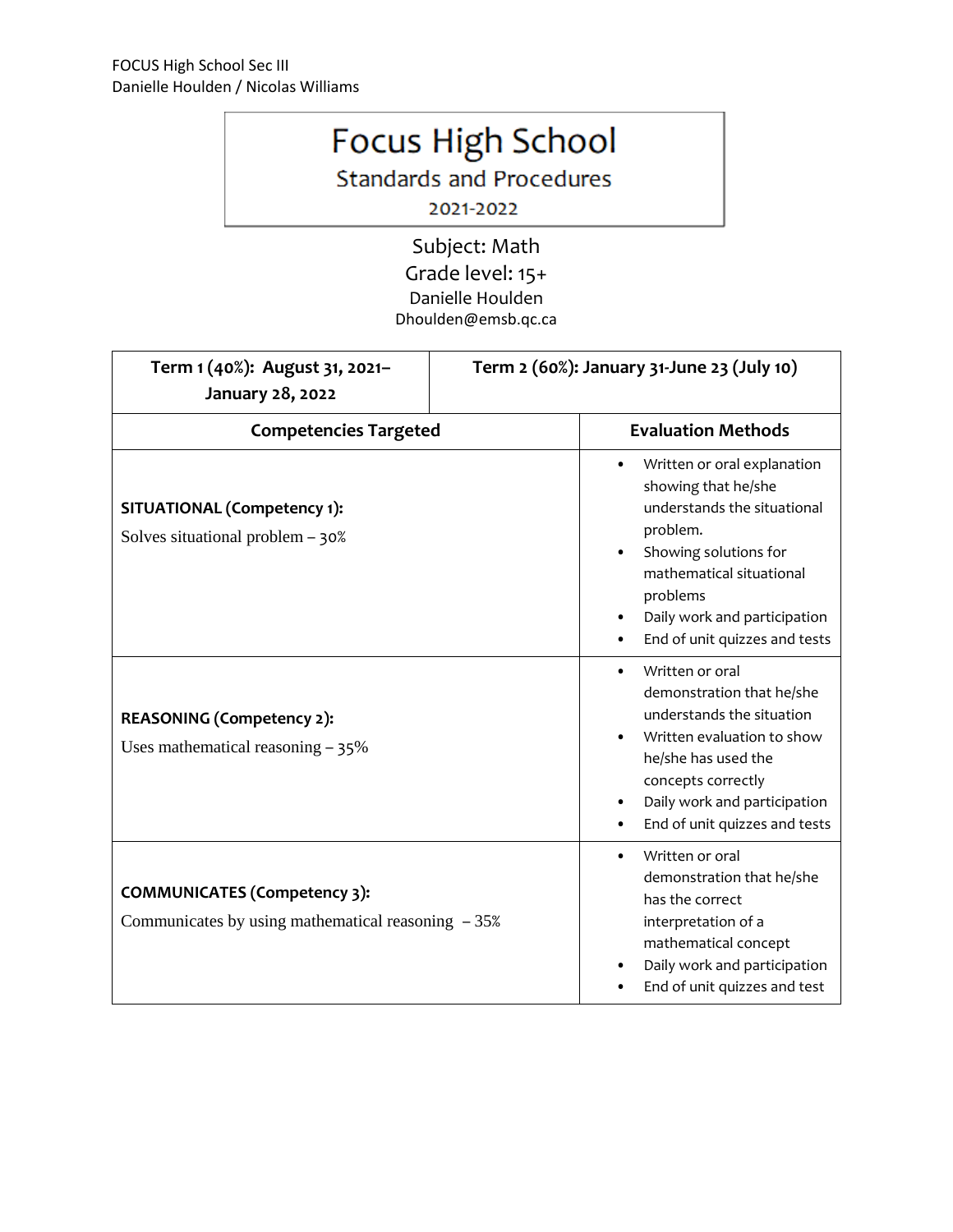## Focus High School

**Standards and Procedures** 

2021-2022

Subject: Math Grade level: 15+ Danielle Houlden Dhoulden@emsb.qc.ca

| Term 1 (40%): August 31, 2021-<br>January 28, 2022                                          | Term 2 (60%): January 31-June 23 (July 10)                                                                                                                                                                                         |
|---------------------------------------------------------------------------------------------|------------------------------------------------------------------------------------------------------------------------------------------------------------------------------------------------------------------------------------|
| <b>Competencies Targeted</b>                                                                | <b>Evaluation Methods</b>                                                                                                                                                                                                          |
| <b>SITUATIONAL (Competency 1):</b><br>Solves situational problem $-30\%$                    | Written or oral explanation<br>showing that he/she<br>understands the situational<br>problem.<br>Showing solutions for<br>mathematical situational<br>problems<br>Daily work and participation<br>End of unit quizzes and tests    |
| <b>REASONING (Competency 2):</b><br>Uses mathematical reasoning $-35\%$                     | Written or oral<br>$\bullet$<br>demonstration that he/she<br>understands the situation<br>Written evaluation to show<br>he/she has used the<br>concepts correctly<br>Daily work and participation<br>End of unit quizzes and tests |
| <b>COMMUNICATES (Competency 3):</b><br>Communicates by using mathematical reasoning $-35\%$ | Written or oral<br>demonstration that he/she<br>has the correct<br>interpretation of a<br>mathematical concept<br>Daily work and participation<br>End of unit quizzes and test                                                     |